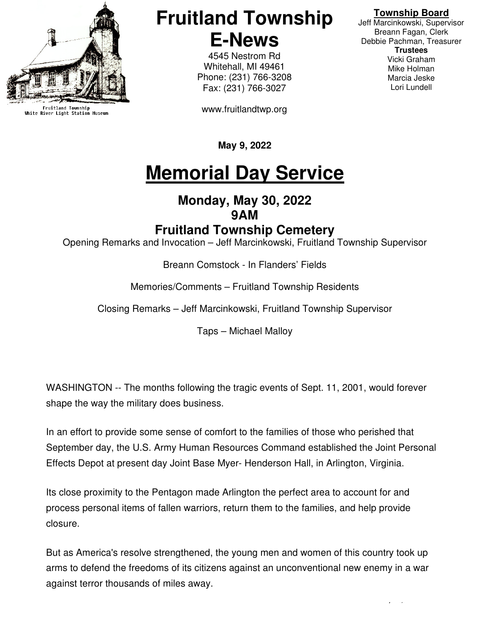

Fruitland Township<br>White River Light Station Museum

### **Fruitland Township E-News**

4545 Nestrom Rd Whitehall, MI 49461 Phone: (231) 766-3208 Fax: (231) 766-3027

www.fruitlandtwp.org

#### **Township Board**

Jeff Marcinkowski, Supervisor Breann Fagan, Clerk Debbie Pachman, Treasurer **Trustees**  Vicki Graham Mike Holman Marcia Jeske Lori Lundell

**May 9, 2022** 

## **Memorial Day Service**

#### **Monday, May 30, 2022 9AM**

#### **Fruitland Township Cemetery**

Opening Remarks and Invocation – Jeff Marcinkowski, Fruitland Township Supervisor

Breann Comstock - In Flanders' Fields

Memories/Comments – Fruitland Township Residents

Closing Remarks – Jeff Marcinkowski, Fruitland Township Supervisor

Taps – Michael Malloy

WASHINGTON -- The months following the tragic events of Sept. 11, 2001, would forever shape the way the military does business.

In an effort to provide some sense of comfort to the families of those who perished that September day, the U.S. Army Human Resources Command established the Joint Personal Effects Depot at present day Joint Base Myer- Henderson Hall, in Arlington, Virginia.

Its close proximity to the Pentagon made Arlington the perfect area to account for and process personal items of fallen warriors, return them to the families, and help provide closure.

But as America's resolve strengthened, the young men and women of this country took up arms to defend the freedoms of its citizens against an unconventional new enemy in a war against terror thousands of miles away.

E-News May 23, 2022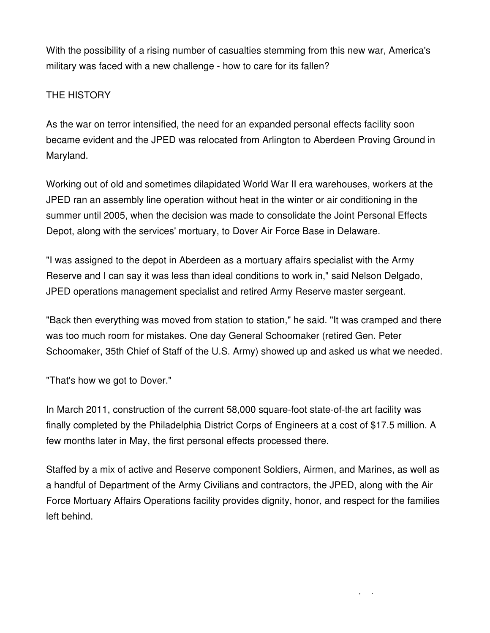With the possibility of a rising number of casualties stemming from this new war, America's military was faced with a new challenge - how to care for its fallen?

#### THE HISTORY

As the war on terror intensified, the need for an expanded personal effects facility soon became evident and the JPED was relocated from Arlington to Aberdeen Proving Ground in Maryland.

Working out of old and sometimes dilapidated World War II era warehouses, workers at the JPED ran an assembly line operation without heat in the winter or air conditioning in the summer until 2005, when the decision was made to consolidate the Joint Personal Effects Depot, along with the services' mortuary, to Dover Air Force Base in Delaware.

"I was assigned to the depot in Aberdeen as a mortuary affairs specialist with the Army Reserve and I can say it was less than ideal conditions to work in," said Nelson Delgado, JPED operations management specialist and retired Army Reserve master sergeant.

"Back then everything was moved from station to station," he said. "It was cramped and there was too much room for mistakes. One day General Schoomaker (retired Gen. Peter Schoomaker, 35th Chief of Staff of the U.S. Army) showed up and asked us what we needed.

"That's how we got to Dover."

In March 2011, construction of the current 58,000 square-foot state-of-the art facility was finally completed by the Philadelphia District Corps of Engineers at a cost of \$17.5 million. A few months later in May, the first personal effects processed there.

Staffed by a mix of active and Reserve component Soldiers, Airmen, and Marines, as well as a handful of Department of the Army Civilians and contractors, the JPED, along with the Air Force Mortuary Affairs Operations facility provides dignity, honor, and respect for the families left behind.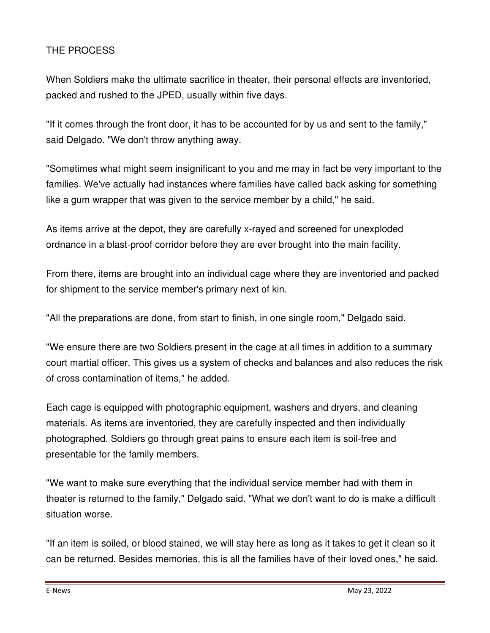#### THE PROCESS

When Soldiers make the ultimate sacrifice in theater, their personal effects are inventoried, packed and rushed to the JPED, usually within five days.

"If it comes through the front door, it has to be accounted for by us and sent to the family," said Delgado. "We don't throw anything away.

"Sometimes what might seem insignificant to you and me may in fact be very important to the families. We've actually had instances where families have called back asking for something like a gum wrapper that was given to the service member by a child," he said.

As items arrive at the depot, they are carefully x-rayed and screened for unexploded ordnance in a blast-proof corridor before they are ever brought into the main facility.

From there, items are brought into an individual cage where they are inventoried and packed for shipment to the service member's primary next of kin.

"All the preparations are done, from start to finish, in one single room," Delgado said.

"We ensure there are two Soldiers present in the cage at all times in addition to a summary court martial officer. This gives us a system of checks and balances and also reduces the risk of cross contamination of items," he added.

Each cage is equipped with photographic equipment, washers and dryers, and cleaning materials. As items are inventoried, they are carefully inspected and then individually photographed. Soldiers go through great pains to ensure each item is soil-free and presentable for the family members.

"We want to make sure everything that the individual service member had with them in theater is returned to the family," Delgado said. "What we don't want to do is make a difficult situation worse.

"If an item is soiled, or blood stained, we will stay here as long as it takes to get it clean so it can be returned. Besides memories, this is all the families have of their loved ones," he said.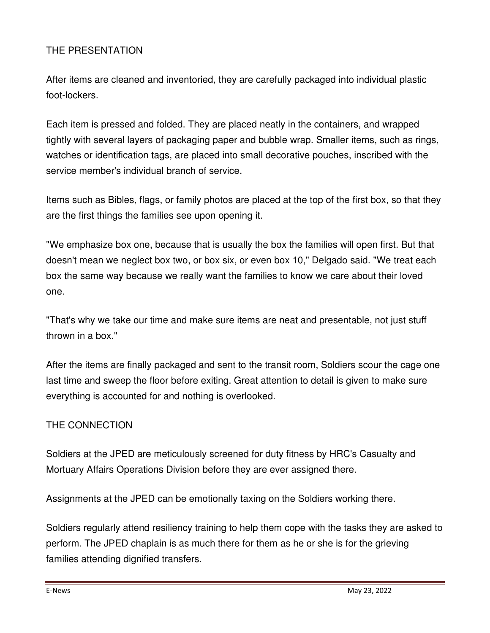#### THE PRESENTATION

After items are cleaned and inventoried, they are carefully packaged into individual plastic foot-lockers.

Each item is pressed and folded. They are placed neatly in the containers, and wrapped tightly with several layers of packaging paper and bubble wrap. Smaller items, such as rings, watches or identification tags, are placed into small decorative pouches, inscribed with the service member's individual branch of service.

Items such as Bibles, flags, or family photos are placed at the top of the first box, so that they are the first things the families see upon opening it.

"We emphasize box one, because that is usually the box the families will open first. But that doesn't mean we neglect box two, or box six, or even box 10," Delgado said. "We treat each box the same way because we really want the families to know we care about their loved one.

"That's why we take our time and make sure items are neat and presentable, not just stuff thrown in a box."

After the items are finally packaged and sent to the transit room, Soldiers scour the cage one last time and sweep the floor before exiting. Great attention to detail is given to make sure everything is accounted for and nothing is overlooked.

#### THE CONNECTION

Soldiers at the JPED are meticulously screened for duty fitness by HRC's Casualty and Mortuary Affairs Operations Division before they are ever assigned there.

Assignments at the JPED can be emotionally taxing on the Soldiers working there.

Soldiers regularly attend resiliency training to help them cope with the tasks they are asked to perform. The JPED chaplain is as much there for them as he or she is for the grieving families attending dignified transfers.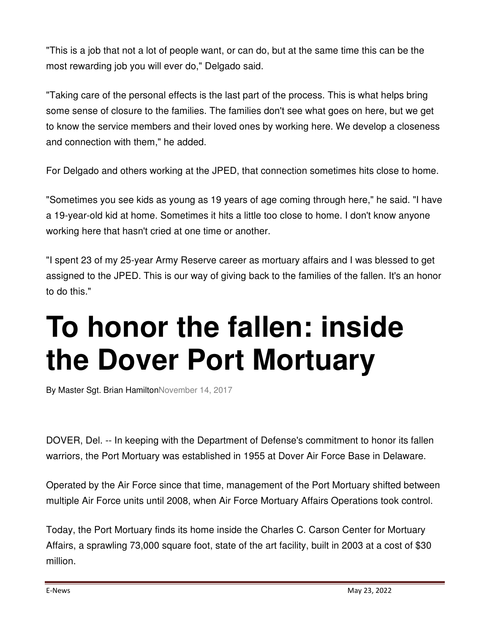"This is a job that not a lot of people want, or can do, but at the same time this can be the most rewarding job you will ever do," Delgado said.

"Taking care of the personal effects is the last part of the process. This is what helps bring some sense of closure to the families. The families don't see what goes on here, but we get to know the service members and their loved ones by working here. We develop a closeness and connection with them," he added.

For Delgado and others working at the JPED, that connection sometimes hits close to home.

"Sometimes you see kids as young as 19 years of age coming through here," he said. "I have a 19-year-old kid at home. Sometimes it hits a little too close to home. I don't know anyone working here that hasn't cried at one time or another.

"I spent 23 of my 25-year Army Reserve career as mortuary affairs and I was blessed to get assigned to the JPED. This is our way of giving back to the families of the fallen. It's an honor to do this."

# **To honor the fallen: inside the Dover Port Mortuary**

By Master Sgt. Brian HamiltonNovember 14, 2017

DOVER, Del. -- In keeping with the Department of Defense's commitment to honor its fallen warriors, the Port Mortuary was established in 1955 at Dover Air Force Base in Delaware.

Operated by the Air Force since that time, management of the Port Mortuary shifted between multiple Air Force units until 2008, when Air Force Mortuary Affairs Operations took control.

Today, the Port Mortuary finds its home inside the Charles C. Carson Center for Mortuary Affairs, a sprawling 73,000 square foot, state of the art facility, built in 2003 at a cost of \$30 million.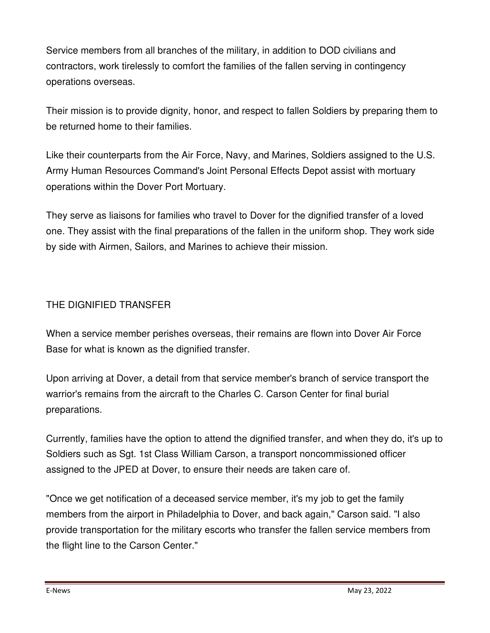Service members from all branches of the military, in addition to DOD civilians and contractors, work tirelessly to comfort the families of the fallen serving in contingency operations overseas.

Their mission is to provide dignity, honor, and respect to fallen Soldiers by preparing them to be returned home to their families.

Like their counterparts from the Air Force, Navy, and Marines, Soldiers assigned to the U.S. Army Human Resources Command's Joint Personal Effects Depot assist with mortuary operations within the Dover Port Mortuary.

They serve as liaisons for families who travel to Dover for the dignified transfer of a loved one. They assist with the final preparations of the fallen in the uniform shop. They work side by side with Airmen, Sailors, and Marines to achieve their mission.

#### THE DIGNIFIED TRANSFER

When a service member perishes overseas, their remains are flown into Dover Air Force Base for what is known as the dignified transfer.

Upon arriving at Dover, a detail from that service member's branch of service transport the warrior's remains from the aircraft to the Charles C. Carson Center for final burial preparations.

Currently, families have the option to attend the dignified transfer, and when they do, it's up to Soldiers such as Sgt. 1st Class William Carson, a transport noncommissioned officer assigned to the JPED at Dover, to ensure their needs are taken care of.

"Once we get notification of a deceased service member, it's my job to get the family members from the airport in Philadelphia to Dover, and back again," Carson said. "I also provide transportation for the military escorts who transfer the fallen service members from the flight line to the Carson Center."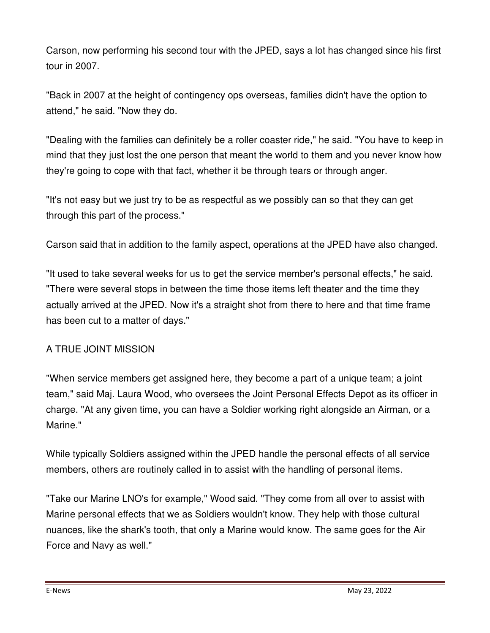Carson, now performing his second tour with the JPED, says a lot has changed since his first tour in 2007.

"Back in 2007 at the height of contingency ops overseas, families didn't have the option to attend," he said. "Now they do.

"Dealing with the families can definitely be a roller coaster ride," he said. "You have to keep in mind that they just lost the one person that meant the world to them and you never know how they're going to cope with that fact, whether it be through tears or through anger.

"It's not easy but we just try to be as respectful as we possibly can so that they can get through this part of the process."

Carson said that in addition to the family aspect, operations at the JPED have also changed.

"It used to take several weeks for us to get the service member's personal effects," he said. "There were several stops in between the time those items left theater and the time they actually arrived at the JPED. Now it's a straight shot from there to here and that time frame has been cut to a matter of days."

#### A TRUE JOINT MISSION

"When service members get assigned here, they become a part of a unique team; a joint team," said Maj. Laura Wood, who oversees the Joint Personal Effects Depot as its officer in charge. "At any given time, you can have a Soldier working right alongside an Airman, or a Marine."

While typically Soldiers assigned within the JPED handle the personal effects of all service members, others are routinely called in to assist with the handling of personal items.

"Take our Marine LNO's for example," Wood said. "They come from all over to assist with Marine personal effects that we as Soldiers wouldn't know. They help with those cultural nuances, like the shark's tooth, that only a Marine would know. The same goes for the Air Force and Navy as well."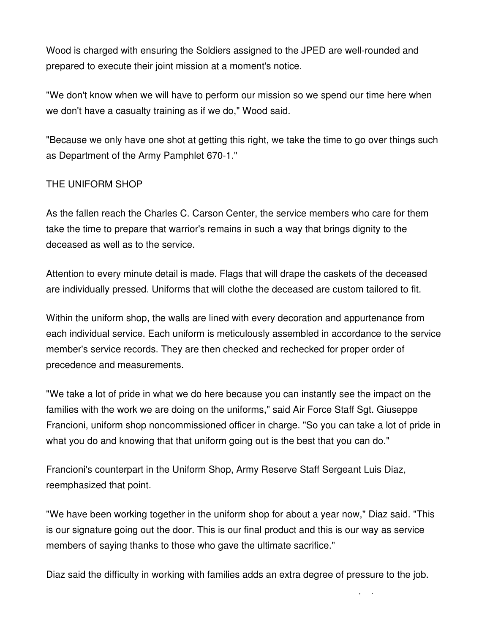Wood is charged with ensuring the Soldiers assigned to the JPED are well-rounded and prepared to execute their joint mission at a moment's notice.

"We don't know when we will have to perform our mission so we spend our time here when we don't have a casualty training as if we do," Wood said.

"Because we only have one shot at getting this right, we take the time to go over things such as Department of the Army Pamphlet 670-1."

#### THE UNIFORM SHOP

As the fallen reach the Charles C. Carson Center, the service members who care for them take the time to prepare that warrior's remains in such a way that brings dignity to the deceased as well as to the service.

Attention to every minute detail is made. Flags that will drape the caskets of the deceased are individually pressed. Uniforms that will clothe the deceased are custom tailored to fit.

Within the uniform shop, the walls are lined with every decoration and appurtenance from each individual service. Each uniform is meticulously assembled in accordance to the service member's service records. They are then checked and rechecked for proper order of precedence and measurements.

"We take a lot of pride in what we do here because you can instantly see the impact on the families with the work we are doing on the uniforms," said Air Force Staff Sgt. Giuseppe Francioni, uniform shop noncommissioned officer in charge. "So you can take a lot of pride in what you do and knowing that that uniform going out is the best that you can do."

Francioni's counterpart in the Uniform Shop, Army Reserve Staff Sergeant Luis Diaz, reemphasized that point.

"We have been working together in the uniform shop for about a year now," Diaz said. "This is our signature going out the door. This is our final product and this is our way as service members of saying thanks to those who gave the ultimate sacrifice."

Diaz said the difficulty in working with families adds an extra degree of pressure to the job.

 $\mathbb{E}_{\mathcal{L}}$